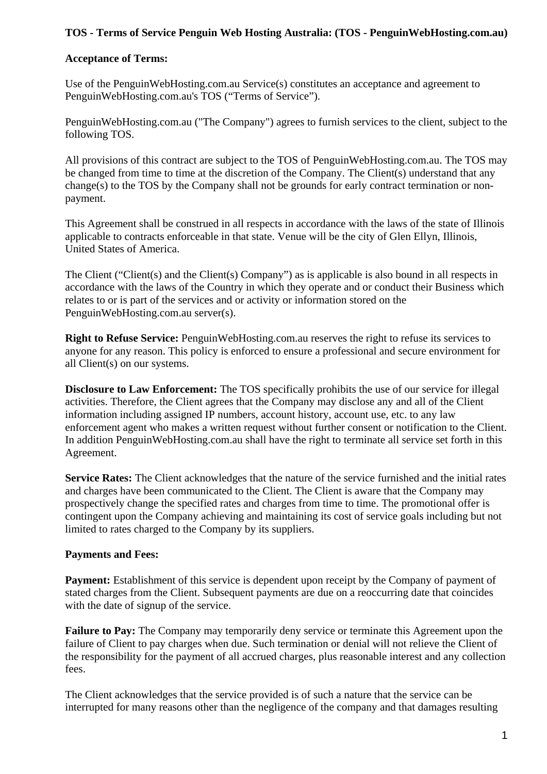## **TOS - Terms of Service Penguin Web Hosting Australia: (TOS - PenguinWebHosting.com.au)**

## **Acceptance of Terms:**

Use of the PenguinWebHosting.com.au Service(s) constitutes an acceptance and agreement to PenguinWebHosting.com.au's TOS ("Terms of Service").

PenguinWebHosting.com.au ("The Company") agrees to furnish services to the client, subject to the following TOS.

All provisions of this contract are subject to the TOS of PenguinWebHosting.com.au. The TOS may be changed from time to time at the discretion of the Company. The Client(s) understand that any change(s) to the TOS by the Company shall not be grounds for early contract termination or nonpayment.

This Agreement shall be construed in all respects in accordance with the laws of the state of Illinois applicable to contracts enforceable in that state. Venue will be the city of Glen Ellyn, Illinois, United States of America.

The Client ("Client(s) and the Client(s) Company") as is applicable is also bound in all respects in accordance with the laws of the Country in which they operate and or conduct their Business which relates to or is part of the services and or activity or information stored on the PenguinWebHosting.com.au server(s).

**Right to Refuse Service:** PenguinWebHosting.com.au reserves the right to refuse its services to anyone for any reason. This policy is enforced to ensure a professional and secure environment for all Client(s) on our systems.

**Disclosure to Law Enforcement:** The TOS specifically prohibits the use of our service for illegal activities. Therefore, the Client agrees that the Company may disclose any and all of the Client information including assigned IP numbers, account history, account use, etc. to any law enforcement agent who makes a written request without further consent or notification to the Client. In addition PenguinWebHosting.com.au shall have the right to terminate all service set forth in this Agreement.

**Service Rates:** The Client acknowledges that the nature of the service furnished and the initial rates and charges have been communicated to the Client. The Client is aware that the Company may prospectively change the specified rates and charges from time to time. The promotional offer is contingent upon the Company achieving and maintaining its cost of service goals including but not limited to rates charged to the Company by its suppliers.

#### **Payments and Fees:**

**Payment:** Establishment of this service is dependent upon receipt by the Company of payment of stated charges from the Client. Subsequent payments are due on a reoccurring date that coincides with the date of signup of the service.

**Failure to Pay:** The Company may temporarily deny service or terminate this Agreement upon the failure of Client to pay charges when due. Such termination or denial will not relieve the Client of the responsibility for the payment of all accrued charges, plus reasonable interest and any collection fees.

The Client acknowledges that the service provided is of such a nature that the service can be interrupted for many reasons other than the negligence of the company and that damages resulting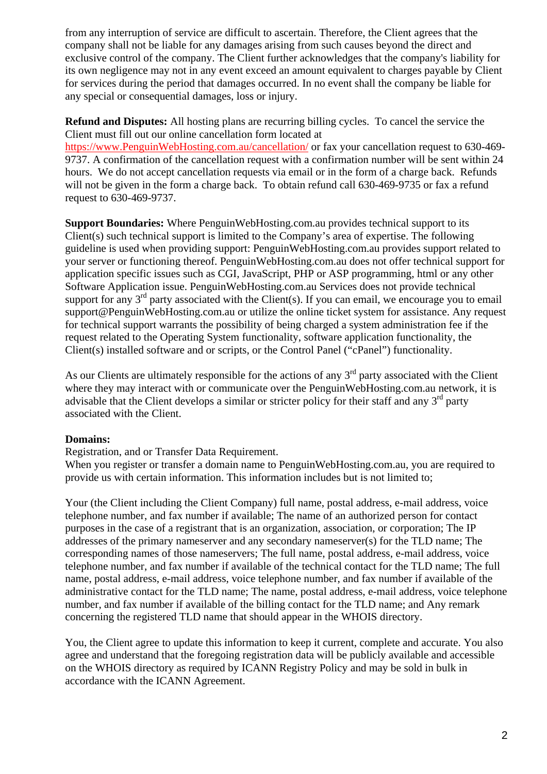from any interruption of service are difficult to ascertain. Therefore, the Client agrees that the company shall not be liable for any damages arising from such causes beyond the direct and exclusive control of the company. The Client further acknowledges that the company's liability for its own negligence may not in any event exceed an amount equivalent to charges payable by Client for services during the period that damages occurred. In no event shall the company be liable for any special or consequential damages, loss or injury.

**Refund and Disputes:** All hosting plans are recurring billing cycles. To cancel the service the Client must fill out our online cancellation form located at [https://www.PenguinWebHosting.com.au/cancellation/](https://securednshost.com/cancellation/) or fax your cancellation request to 630-469- 9737. A confirmation of the cancellation request with a confirmation number will be sent within 24 hours. We do not accept cancellation requests via email or in the form of a charge back. Refunds will not be given in the form a charge back. To obtain refund call 630-469-9735 or fax a refund request to 630-469-9737.

**Support Boundaries:** Where PenguinWebHosting.com.au provides technical support to its Client(s) such technical support is limited to the Company's area of expertise. The following guideline is used when providing support: PenguinWebHosting.com.au provides support related to your server or functioning thereof. PenguinWebHosting.com.au does not offer technical support for application specific issues such as CGI, JavaScript, PHP or ASP programming, html or any other Software Application issue. PenguinWebHosting.com.au Services does not provide technical support for any  $3<sup>rd</sup>$  party associated with the Client(s). If you can email, we encourage you to email support@PenguinWebHosting.com.au or utilize the online ticket system for assistance. Any request for technical support warrants the possibility of being charged a system administration fee if the request related to the Operating System functionality, software application functionality, the Client(s) installed software and or scripts, or the Control Panel ("cPanel") functionality.

As our Clients are ultimately responsible for the actions of any  $3<sup>rd</sup>$  party associated with the Client where they may interact with or communicate over the PenguinWebHosting.com.au network, it is advisable that the Client develops a similar or stricter policy for their staff and any  $3<sup>rd</sup>$  party associated with the Client.

#### **Domains:**

Registration, and or Transfer Data Requirement.

When you register or transfer a domain name to PenguinWebHosting.com.au, you are required to provide us with certain information. This information includes but is not limited to;

Your (the Client including the Client Company) full name, postal address, e-mail address, voice telephone number, and fax number if available; The name of an authorized person for contact purposes in the case of a registrant that is an organization, association, or corporation; The IP addresses of the primary nameserver and any secondary nameserver(s) for the TLD name; The corresponding names of those nameservers; The full name, postal address, e-mail address, voice telephone number, and fax number if available of the technical contact for the TLD name; The full name, postal address, e-mail address, voice telephone number, and fax number if available of the administrative contact for the TLD name; The name, postal address, e-mail address, voice telephone number, and fax number if available of the billing contact for the TLD name; and Any remark concerning the registered TLD name that should appear in the WHOIS directory.

You, the Client agree to update this information to keep it current, complete and accurate. You also agree and understand that the foregoing registration data will be publicly available and accessible on the WHOIS directory as required by ICANN Registry Policy and may be sold in bulk in accordance with the ICANN Agreement.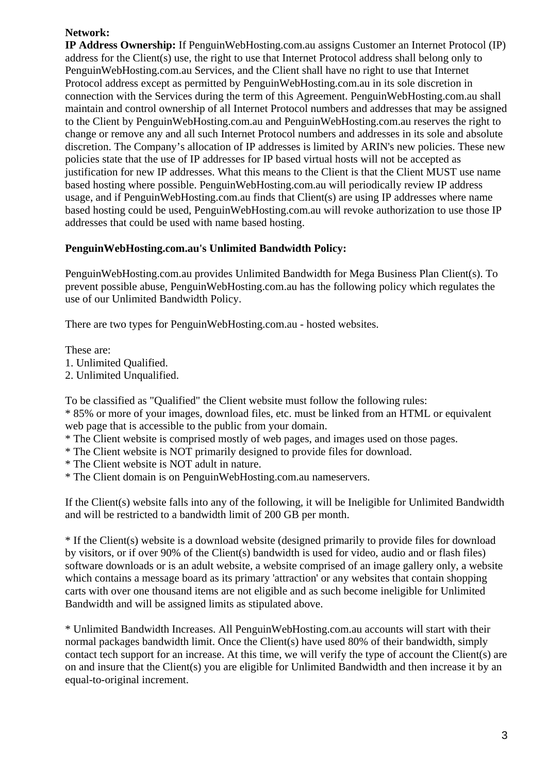# **Network:**

**IP Address Ownership:** If PenguinWebHosting.com.au assigns Customer an Internet Protocol (IP) address for the Client(s) use, the right to use that Internet Protocol address shall belong only to PenguinWebHosting.com.au Services, and the Client shall have no right to use that Internet Protocol address except as permitted by PenguinWebHosting.com.au in its sole discretion in connection with the Services during the term of this Agreement. PenguinWebHosting.com.au shall maintain and control ownership of all Internet Protocol numbers and addresses that may be assigned to the Client by PenguinWebHosting.com.au and PenguinWebHosting.com.au reserves the right to change or remove any and all such Internet Protocol numbers and addresses in its sole and absolute discretion. The Company's allocation of IP addresses is limited by ARIN's new policies. These new policies state that the use of IP addresses for IP based virtual hosts will not be accepted as justification for new IP addresses. What this means to the Client is that the Client MUST use name based hosting where possible. PenguinWebHosting.com.au will periodically review IP address usage, and if PenguinWebHosting.com.au finds that Client(s) are using IP addresses where name based hosting could be used, PenguinWebHosting.com.au will revoke authorization to use those IP addresses that could be used with name based hosting.

# **PenguinWebHosting.com.au's Unlimited Bandwidth Policy:**

PenguinWebHosting.com.au provides Unlimited Bandwidth for Mega Business Plan Client(s). To prevent possible abuse, PenguinWebHosting.com.au has the following policy which regulates the use of our Unlimited Bandwidth Policy.

There are two types for PenguinWebHosting.com.au - hosted websites.

These are:

1. Unlimited Qualified.

2. Unlimited Unqualified.

To be classified as "Qualified" the Client website must follow the following rules:

\* 85% or more of your images, download files, etc. must be linked from an HTML or equivalent web page that is accessible to the public from your domain.

\* The Client website is comprised mostly of web pages, and images used on those pages.

- \* The Client website is NOT primarily designed to provide files for download.
- \* The Client website is NOT adult in nature.

\* The Client domain is on PenguinWebHosting.com.au nameservers.

If the Client(s) website falls into any of the following, it will be Ineligible for Unlimited Bandwidth and will be restricted to a bandwidth limit of 200 GB per month.

\* If the Client(s) website is a download website (designed primarily to provide files for download by visitors, or if over 90% of the Client(s) bandwidth is used for video, audio and or flash files) software downloads or is an adult website, a website comprised of an image gallery only, a website which contains a message board as its primary 'attraction' or any websites that contain shopping carts with over one thousand items are not eligible and as such become ineligible for Unlimited Bandwidth and will be assigned limits as stipulated above.

\* Unlimited Bandwidth Increases. All PenguinWebHosting.com.au accounts will start with their normal packages bandwidth limit. Once the Client(s) have used 80% of their bandwidth, simply contact tech support for an increase. At this time, we will verify the type of account the Client(s) are on and insure that the Client(s) you are eligible for Unlimited Bandwidth and then increase it by an equal-to-original increment.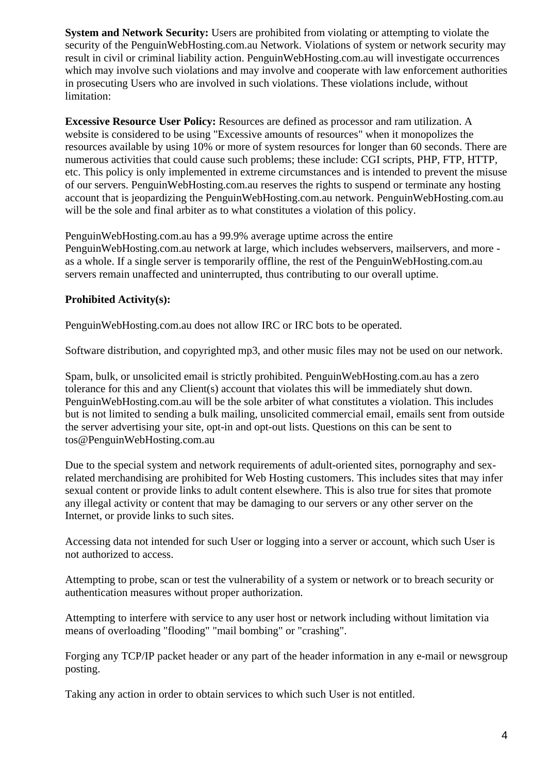**System and Network Security:** Users are prohibited from violating or attempting to violate the security of the PenguinWebHosting.com.au Network. Violations of system or network security may result in civil or criminal liability action. PenguinWebHosting.com.au will investigate occurrences which may involve such violations and may involve and cooperate with law enforcement authorities in prosecuting Users who are involved in such violations. These violations include, without limitation:

**Excessive Resource User Policy:** Resources are defined as processor and ram utilization. A website is considered to be using "Excessive amounts of resources" when it monopolizes the resources available by using 10% or more of system resources for longer than 60 seconds. There are numerous activities that could cause such problems; these include: CGI scripts, PHP, FTP, HTTP, etc. This policy is only implemented in extreme circumstances and is intended to prevent the misuse of our servers. PenguinWebHosting.com.au reserves the rights to suspend or terminate any hosting account that is jeopardizing the PenguinWebHosting.com.au network. PenguinWebHosting.com.au will be the sole and final arbiter as to what constitutes a violation of this policy.

PenguinWebHosting.com.au has a 99.9% average uptime across the entire PenguinWebHosting.com.au network at large, which includes webservers, mailservers, and more as a whole. If a single server is temporarily offline, the rest of the PenguinWebHosting.com.au servers remain unaffected and uninterrupted, thus contributing to our overall uptime.

# **Prohibited Activity(s):**

PenguinWebHosting.com.au does not allow IRC or IRC bots to be operated.

Software distribution, and copyrighted mp3, and other music files may not be used on our network.

Spam, bulk, or unsolicited email is strictly prohibited. PenguinWebHosting.com.au has a zero tolerance for this and any Client(s) account that violates this will be immediately shut down. PenguinWebHosting.com.au will be the sole arbiter of what constitutes a violation. This includes but is not limited to sending a bulk mailing, unsolicited commercial email, emails sent from outside the server advertising your site, opt-in and opt-out lists. Questions on this can be sent to tos@PenguinWebHosting.com.au

Due to the special system and network requirements of adult-oriented sites, pornography and sexrelated merchandising are prohibited for Web Hosting customers. This includes sites that may infer sexual content or provide links to adult content elsewhere. This is also true for sites that promote any illegal activity or content that may be damaging to our servers or any other server on the Internet, or provide links to such sites.

Accessing data not intended for such User or logging into a server or account, which such User is not authorized to access.

Attempting to probe, scan or test the vulnerability of a system or network or to breach security or authentication measures without proper authorization.

Attempting to interfere with service to any user host or network including without limitation via means of overloading "flooding" "mail bombing" or "crashing".

Forging any TCP/IP packet header or any part of the header information in any e-mail or newsgroup posting.

Taking any action in order to obtain services to which such User is not entitled.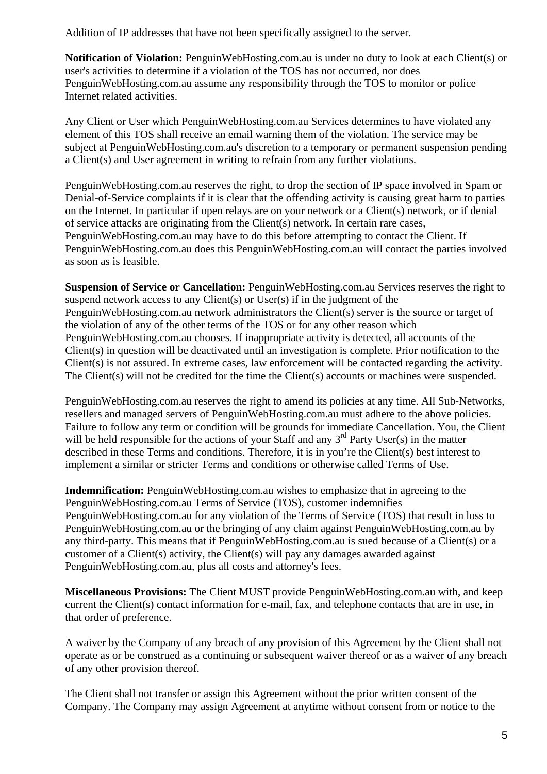Addition of IP addresses that have not been specifically assigned to the server.

**Notification of Violation:** PenguinWebHosting.com.au is under no duty to look at each Client(s) or user's activities to determine if a violation of the TOS has not occurred, nor does PenguinWebHosting.com.au assume any responsibility through the TOS to monitor or police Internet related activities.

Any Client or User which PenguinWebHosting.com.au Services determines to have violated any element of this TOS shall receive an email warning them of the violation. The service may be subject at PenguinWebHosting.com.au's discretion to a temporary or permanent suspension pending a Client(s) and User agreement in writing to refrain from any further violations.

PenguinWebHosting.com.au reserves the right, to drop the section of IP space involved in Spam or Denial-of-Service complaints if it is clear that the offending activity is causing great harm to parties on the Internet. In particular if open relays are on your network or a Client(s) network, or if denial of service attacks are originating from the Client(s) network. In certain rare cases, PenguinWebHosting.com.au may have to do this before attempting to contact the Client. If PenguinWebHosting.com.au does this PenguinWebHosting.com.au will contact the parties involved as soon as is feasible.

**Suspension of Service or Cancellation:** PenguinWebHosting.com.au Services reserves the right to suspend network access to any Client(s) or User(s) if in the judgment of the PenguinWebHosting.com.au network administrators the Client(s) server is the source or target of the violation of any of the other terms of the TOS or for any other reason which PenguinWebHosting.com.au chooses. If inappropriate activity is detected, all accounts of the Client(s) in question will be deactivated until an investigation is complete. Prior notification to the Client(s) is not assured. In extreme cases, law enforcement will be contacted regarding the activity. The Client(s) will not be credited for the time the Client(s) accounts or machines were suspended.

PenguinWebHosting.com.au reserves the right to amend its policies at any time. All Sub-Networks, resellers and managed servers of PenguinWebHosting.com.au must adhere to the above policies. Failure to follow any term or condition will be grounds for immediate Cancellation. You, the Client will be held responsible for the actions of your Staff and any  $3<sup>rd</sup>$  Party User(s) in the matter described in these Terms and conditions. Therefore, it is in you're the Client(s) best interest to implement a similar or stricter Terms and conditions or otherwise called Terms of Use.

**Indemnification:** PenguinWebHosting.com.au wishes to emphasize that in agreeing to the PenguinWebHosting.com.au Terms of Service (TOS), customer indemnifies PenguinWebHosting.com.au for any violation of the Terms of Service (TOS) that result in loss to PenguinWebHosting.com.au or the bringing of any claim against PenguinWebHosting.com.au by any third-party. This means that if PenguinWebHosting.com.au is sued because of a Client(s) or a customer of a Client(s) activity, the Client(s) will pay any damages awarded against PenguinWebHosting.com.au, plus all costs and attorney's fees.

**Miscellaneous Provisions:** The Client MUST provide PenguinWebHosting.com.au with, and keep current the Client(s) contact information for e-mail, fax, and telephone contacts that are in use, in that order of preference.

A waiver by the Company of any breach of any provision of this Agreement by the Client shall not operate as or be construed as a continuing or subsequent waiver thereof or as a waiver of any breach of any other provision thereof.

The Client shall not transfer or assign this Agreement without the prior written consent of the Company. The Company may assign Agreement at anytime without consent from or notice to the